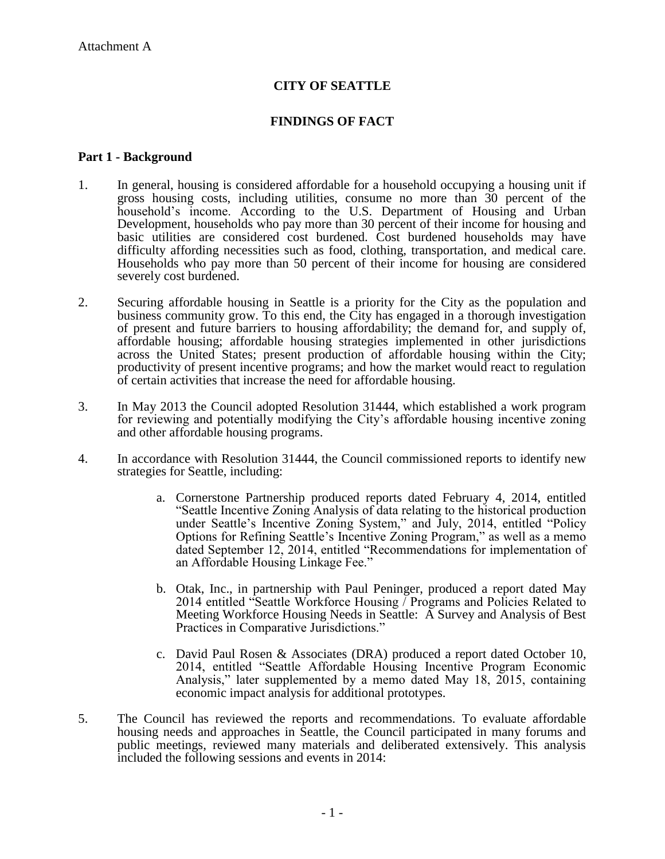# **CITY OF SEATTLE**

### **FINDINGS OF FACT**

#### **Part 1 - Background**

- 1. In general, housing is considered affordable for a household occupying a housing unit if gross housing costs, including utilities, consume no more than 30 percent of the household's income. According to the U.S. Department of Housing and Urban Development, households who pay more than 30 percent of their income for housing and basic utilities are considered cost burdened. Cost burdened households may have difficulty affording necessities such as food, clothing, transportation, and medical care. Households who pay more than 50 percent of their income for housing are considered severely cost burdened.
- 2. Securing affordable housing in Seattle is a priority for the City as the population and business community grow. To this end, the City has engaged in a thorough investigation of present and future barriers to housing affordability; the demand for, and supply of, affordable housing; affordable housing strategies implemented in other jurisdictions across the United States; present production of affordable housing within the City; productivity of present incentive programs; and how the market would react to regulation of certain activities that increase the need for affordable housing.
- 3. In May 2013 the Council adopted Resolution 31444, which established a work program for reviewing and potentially modifying the City's affordable housing incentive zoning and other affordable housing programs.
- 4. In accordance with Resolution 31444, the Council commissioned reports to identify new strategies for Seattle, including:
	- a. Cornerstone Partnership produced reports dated February 4, 2014, entitled "Seattle Incentive Zoning Analysis of data relating to the historical production under Seattle's Incentive Zoning System," and July, 2014, entitled "Policy Options for Refining Seattle's Incentive Zoning Program," as well as a memo dated September 12, 2014, entitled "Recommendations for implementation of an Affordable Housing Linkage Fee."
	- b. Otak, Inc., in partnership with Paul Peninger, produced a report dated May 2014 entitled "Seattle Workforce Housing / Programs and Policies Related to Meeting Workforce Housing Needs in Seattle: A Survey and Analysis of Best Practices in Comparative Jurisdictions."
	- c. David Paul Rosen & Associates (DRA) produced a report dated October 10, 2014, entitled "Seattle Affordable Housing Incentive Program Economic Analysis," later supplemented by a memo dated May 18, 2015, containing economic impact analysis for additional prototypes.
- 5. The Council has reviewed the reports and recommendations. To evaluate affordable housing needs and approaches in Seattle, the Council participated in many forums and public meetings, reviewed many materials and deliberated extensively. This analysis included the following sessions and events in 2014: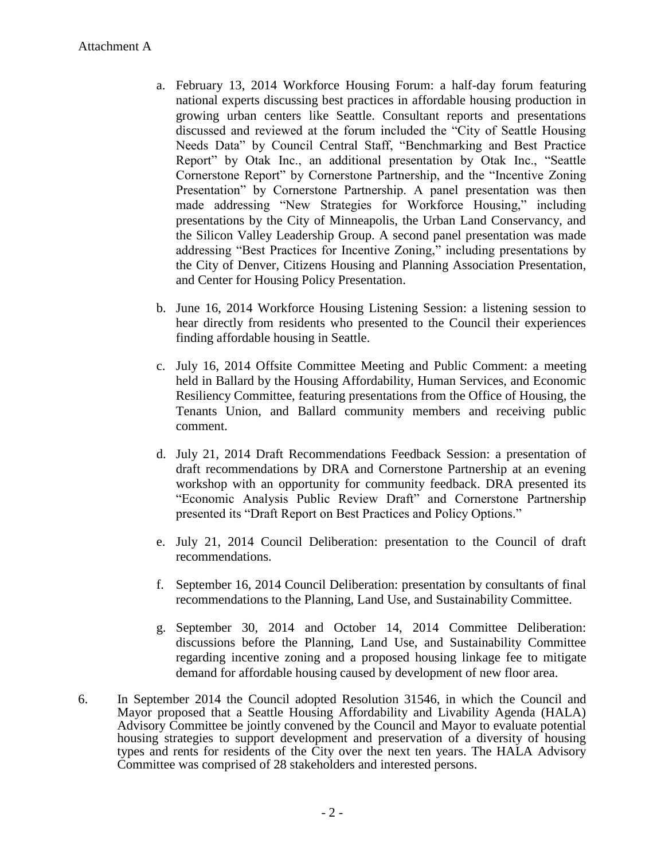- a. February 13, 2014 Workforce Housing Forum: a half-day forum featuring national experts discussing best practices in affordable housing production in growing urban centers like Seattle. Consultant reports and presentations discussed and reviewed at the forum included the "City of Seattle Housing Needs Data" by Council Central Staff, "Benchmarking and Best Practice Report" by Otak Inc., an additional presentation by Otak Inc., "Seattle Cornerstone Report" by Cornerstone Partnership, and the "Incentive Zoning Presentation" by Cornerstone Partnership. A panel presentation was then made addressing "New Strategies for Workforce Housing," including presentations by the City of Minneapolis, the Urban Land Conservancy, and the Silicon Valley Leadership Group. A second panel presentation was made addressing "Best Practices for Incentive Zoning," including presentations by the City of Denver, Citizens Housing and Planning Association Presentation, and Center for Housing Policy Presentation.
- b. June 16, 2014 Workforce Housing Listening Session: a listening session to hear directly from residents who presented to the Council their experiences finding affordable housing in Seattle.
- c. July 16, 2014 Offsite Committee Meeting and Public Comment: a meeting held in Ballard by the Housing Affordability, Human Services, and Economic Resiliency Committee, featuring presentations from the Office of Housing, the Tenants Union, and Ballard community members and receiving public comment.
- d. July 21, 2014 Draft Recommendations Feedback Session: a presentation of draft recommendations by DRA and Cornerstone Partnership at an evening workshop with an opportunity for community feedback. DRA presented its "Economic Analysis Public Review Draft" and Cornerstone Partnership presented its "Draft Report on Best Practices and Policy Options."
- e. July 21, 2014 Council Deliberation: presentation to the Council of draft recommendations.
- f. September 16, 2014 Council Deliberation: presentation by consultants of final recommendations to the Planning, Land Use, and Sustainability Committee.
- g. September 30, 2014 and October 14, 2014 Committee Deliberation: discussions before the Planning, Land Use, and Sustainability Committee regarding incentive zoning and a proposed housing linkage fee to mitigate demand for affordable housing caused by development of new floor area.
- 6. In September 2014 the Council adopted Resolution 31546, in which the Council and Mayor proposed that a Seattle Housing Affordability and Livability Agenda (HALA) Advisory Committee be jointly convened by the Council and Mayor to evaluate potential housing strategies to support development and preservation of a diversity of housing types and rents for residents of the City over the next ten years. The HALA Advisory Committee was comprised of 28 stakeholders and interested persons.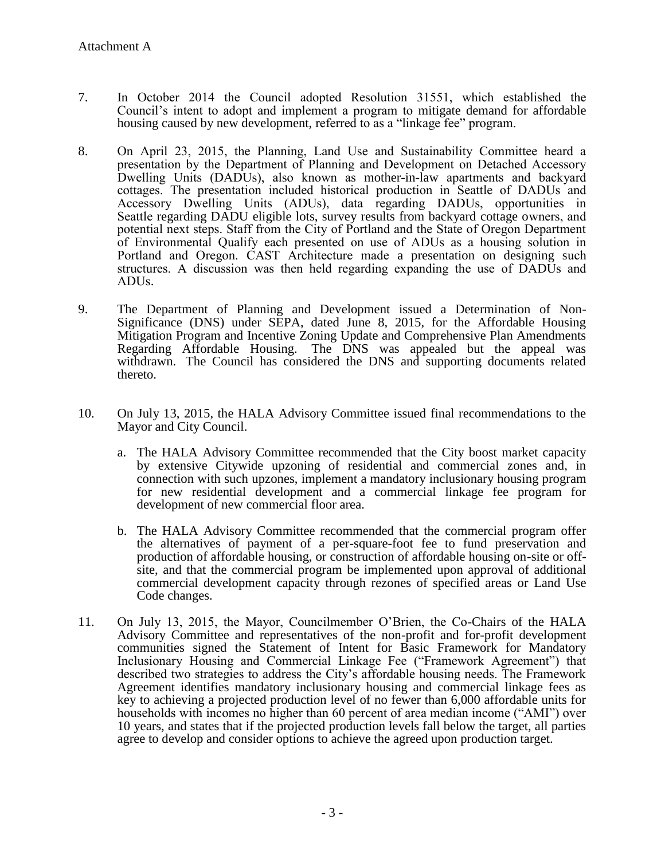- 7. In October 2014 the Council adopted Resolution 1551, which established the Council's intent to adopt and implement a program to mitigate demand for affordable housing caused by new development, referred to as a "linkage fee" program.
- 8. On April 23, 2015, the Planning, Land Use and Sustainability Committee heard a presentation by the Department of Planning and Development on Detached Accessory Dwelling Units (DADUs), also known as mother-in-law apartments and backyard cottages. The presentation included historical production in Seattle of DADUs and Accessory Dwelling Units (ADUs), data regarding DADUs, opportunities in Seattle regarding DADU eligible lots, survey results from backyard cottage owners, and potential next steps. Staff from the City of Portland and the State of Oregon Department of Environmental Qualify each presented on use of ADUs as a housing solution in Portland and Oregon. CAST Architecture made a presentation on designing such structures. A discussion was then held regarding expanding the use of DADUs and ADU<sub>s</sub>.
- 9. The Department of Planning and Development issued a Determination of Non-Significance (DNS) under SEPA, dated June 8, 2015, for the Affordable Housing Mitigation Program and Incentive Zoning Update and Comprehensive Plan Amendments Regarding Affordable Housing. The DNS was appealed but the appeal was withdrawn. The Council has considered the DNS and supporting documents related thereto.
- 10. On July 13, 2015, the HALA Advisory Committee issued final recommendations to the Mayor and City Council.
	- a. The HALA Advisory Committee recommended that the City boost market capacity by extensive Citywide upzoning of residential and commercial zones and, in connection with such upzones, implement a mandatory inclusionary housing program for new residential development and a commercial linkage fee program for development of new commercial floor area.
	- b. The HALA Advisory Committee recommended that the commercial program offer the alternatives of payment of a per-square-foot fee to fund preservation and production of affordable housing, or construction of affordable housing on-site or offsite, and that the commercial program be implemented upon approval of additional commercial development capacity through rezones of specified areas or Land Use Code changes.
- 11. On July 13, 2015, the Mayor, Councilmember O'Brien, the Co-Chairs of the HALA Advisory Committee and representatives of the non-profit and for-profit development communities signed the Statement of Intent for Basic Framework for Mandatory Inclusionary Housing and Commercial Linkage Fee ("Framework Agreement") that described two strategies to address the City's affordable housing needs. The Framework Agreement identifies mandatory inclusionary housing and commercial linkage fees as key to achieving a projected production level of no fewer than 6,000 affordable units for households with incomes no higher than 60 percent of area median income ("AMI") over 10 years, and states that if the projected production levels fall below the target, all parties agree to develop and consider options to achieve the agreed upon production target.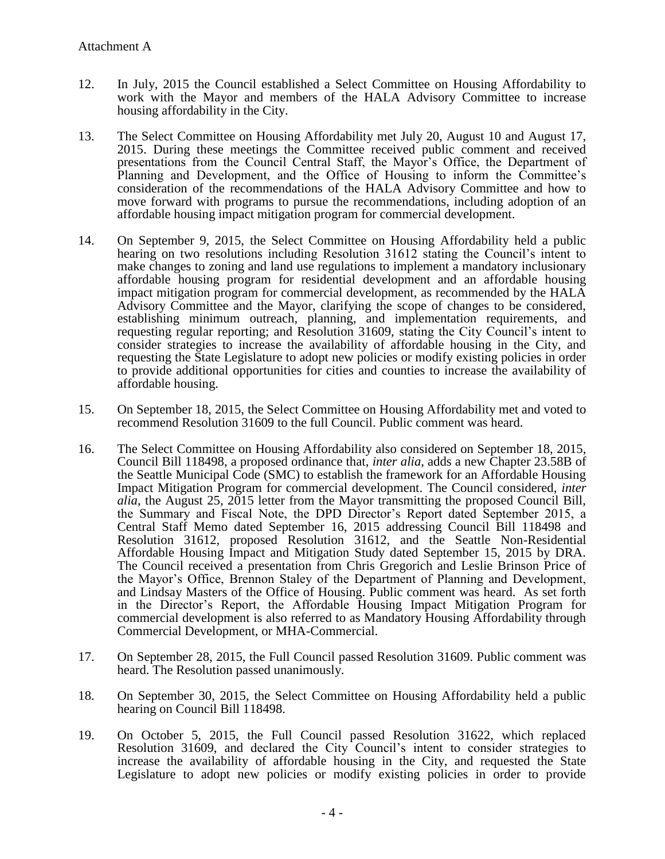- 12. In July, 2015 the Council established a Select Committee on Housing Affordability to work with the Mayor and members of the HALA Advisory Committee to increase housing affordability in the City.
- 13. The Select Committee on Housing Affordability met July 20, August 10 and August 17, 2015. During these meetings the Committee received public comment and received presentations from the Council Central Staff, the Mayor's Office, the Department of Planning and Development, and the Office of Housing to inform the Committee's consideration of the recommendations of the HALA Advisory Committee and how to move forward with programs to pursue the recommendations, including adoption of an affordable housing impact mitigation program for commercial development.
- 14. On September 9, 2015, the Select Committee on Housing Affordability held a public hearing on two resolutions including Resolution 31612 stating the Council's intent to make changes to zoning and land use regulations to implement a mandatory inclusionary affordable housing program for residential development and an affordable housing impact mitigation program for commercial development, as recommended by the HALA Advisory Committee and the Mayor, clarifying the scope of changes to be considered, establishing minimum outreach, planning, and implementation requirements, and requesting regular reporting; and Resolution 31609, stating the City Council's intent to consider strategies to increase the availability of affordable housing in the City, and requesting the State Legislature to adopt new policies or modify existing policies in order to provide additional opportunities for cities and counties to increase the availability of affordable housing.
- 15. On September 18, 2015, the Select Committee on Housing Affordability met and voted to recommend Resolution 31609 to the full Council. Public comment was heard.
- 16. The Select Committee on Housing Affordability also considered on September 18, 2015, Council Bill 118498, a proposed ordinance that, *inter alia*, adds a new Chapter 23.58B of the Seattle Municipal Code (SMC) to establish the framework for an Affordable Housing Impact Mitigation Program for commercial development. The Council considered, *inter alia*, the August 25, 2015 letter from the Mayor transmitting the proposed Council Bill, the Summary and Fiscal Note, the DPD Director's Report dated September 2015, a Central Staff Memo dated September 16, 2015 addressing Council Bill 118498 and Resolution 31612, proposed Resolution 31612, and the Seattle Non-Residential Affordable Housing Impact and Mitigation Study dated September 15, 2015 by DRA. The Council received a presentation from Chris Gregorich and Leslie Brinson Price of the Mayor's Office, Brennon Staley of the Department of Planning and Development, and Lindsay Masters of the Office of Housing. Public comment was heard. As set forth in the Director's Report, the Affordable Housing Impact Mitigation Program for commercial development is also referred to as Mandatory Housing Affordability through Commercial Development, or MHA-Commercial.
- 17. On September 28, 2015, the Full Council passed Resolution 31609. Public comment was heard. The Resolution passed unanimously.
- 18. On September 30, 2015, the Select Committee on Housing Affordability held a public hearing on Council Bill 118498.
- 19. On October 5, 2015, the Full Council passed Resolution 31622, which replaced Resolution 31609, and declared the City Council's intent to consider strategies to increase the availability of affordable housing in the City, and requested the State Legislature to adopt new policies or modify existing policies in order to provide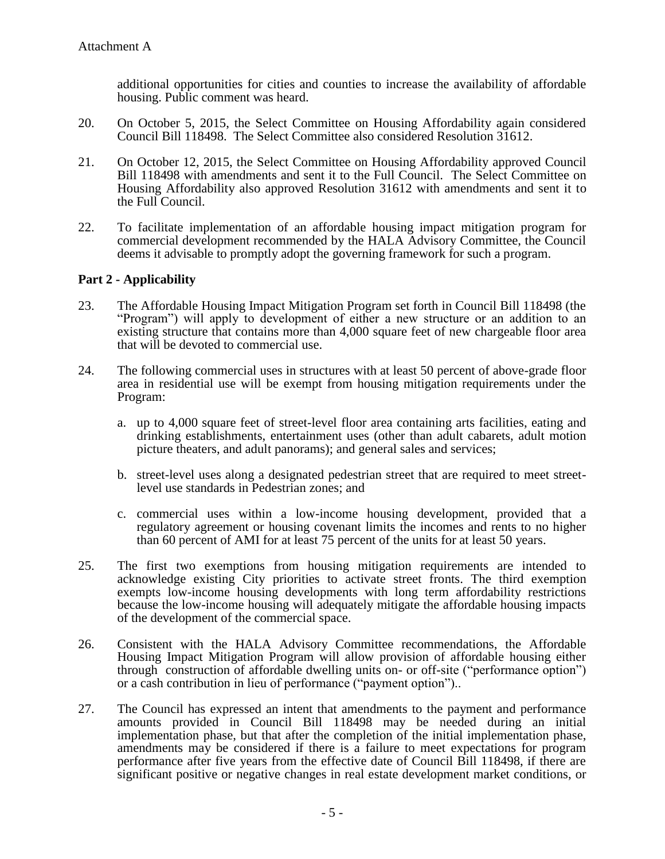additional opportunities for cities and counties to increase the availability of affordable housing. Public comment was heard.

- 20. On October 5, 2015, the Select Committee on Housing Affordability again considered Council Bill 118498. The Select Committee also considered Resolution 31612.
- 21. On October 12, 2015, the Select Committee on Housing Affordability approved Council Bill 118498 with amendments and sent it to the Full Council. The Select Committee on Housing Affordability also approved Resolution 31612 with amendments and sent it to the Full Council.
- 22. To facilitate implementation of an affordable housing impact mitigation program for commercial development recommended by the HALA Advisory Committee, the Council deems it advisable to promptly adopt the governing framework for such a program.

### **Part 2 - Applicability**

- 23. The Affordable Housing Impact Mitigation Program set forth in Council Bill 118498 (the "Program") will apply to development of either a new structure or an addition to an existing structure that contains more than 4,000 square feet of new chargeable floor area that will be devoted to commercial use.
- 24. The following commercial uses in structures with at least 50 percent of above-grade floor area in residential use will be exempt from housing mitigation requirements under the Program:
	- a. up to 4,000 square feet of street-level floor area containing arts facilities, eating and drinking establishments, entertainment uses (other than adult cabarets, adult motion picture theaters, and adult panorams); and general sales and services;
	- b. street-level uses along a designated pedestrian street that are required to meet streetlevel use standards in Pedestrian zones; and
	- c. commercial uses within a low-income housing development, provided that a regulatory agreement or housing covenant limits the incomes and rents to no higher than 60 percent of AMI for at least 75 percent of the units for at least 50 years.
- 25. The first two exemptions from housing mitigation requirements are intended to acknowledge existing City priorities to activate street fronts. The third exemption exempts low-income housing developments with long term affordability restrictions because the low-income housing will adequately mitigate the affordable housing impacts of the development of the commercial space.
- 26. Consistent with the HALA Advisory Committee recommendations, the Affordable Housing Impact Mitigation Program will allow provision of affordable housing either through construction of affordable dwelling units on- or off-site ("performance option") or a cash contribution in lieu of performance ("payment option")...
- 27. The Council has expressed an intent that amendments to the payment and performance amounts provided in Council Bill 118498 may be needed during an initial implementation phase, but that after the completion of the initial implementation phase, amendments may be considered if there is a failure to meet expectations for program performance after five years from the effective date of Council Bill 118498, if there are significant positive or negative changes in real estate development market conditions, or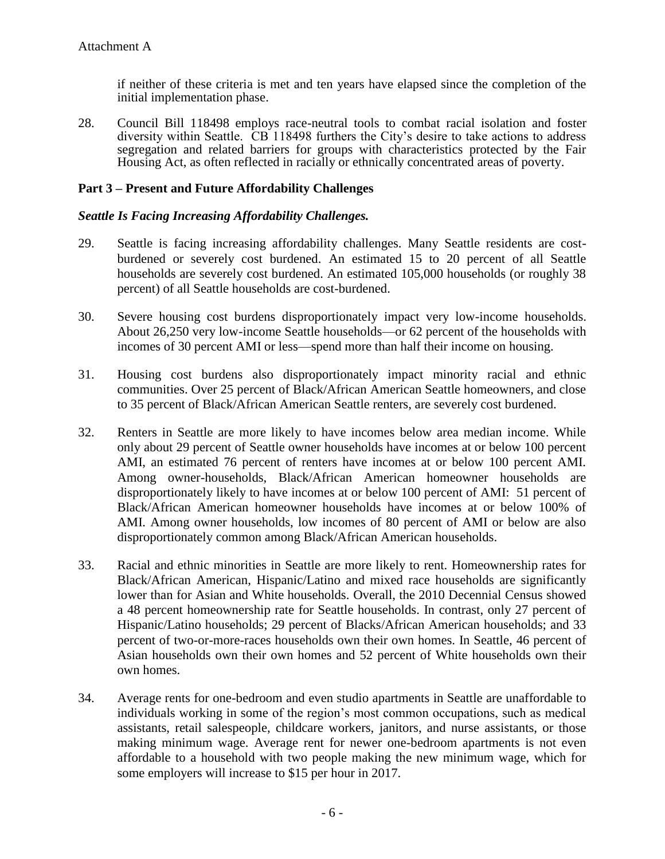if neither of these criteria is met and ten years have elapsed since the completion of the initial implementation phase.

28. Council Bill 118498 employs race-neutral tools to combat racial isolation and foster diversity within Seattle. CB 118498 furthers the City's desire to take actions to address segregation and related barriers for groups with characteristics protected by the Fair Housing Act, as often reflected in racially or ethnically concentrated areas of poverty.

## **Part 3 – Present and Future Affordability Challenges**

### *Seattle Is Facing Increasing Affordability Challenges.*

- 29. Seattle is facing increasing affordability challenges. Many Seattle residents are costburdened or severely cost burdened. An estimated 15 to 20 percent of all Seattle households are severely cost burdened. An estimated 105,000 households (or roughly 38 percent) of all Seattle households are cost-burdened.
- 30. Severe housing cost burdens disproportionately impact very low-income households. About 26,250 very low-income Seattle households—or 62 percent of the households with incomes of 30 percent AMI or less—spend more than half their income on housing.
- 31. Housing cost burdens also disproportionately impact minority racial and ethnic communities. Over 25 percent of Black/African American Seattle homeowners, and close to 35 percent of Black/African American Seattle renters, are severely cost burdened.
- 32. Renters in Seattle are more likely to have incomes below area median income. While only about 29 percent of Seattle owner households have incomes at or below 100 percent AMI, an estimated 76 percent of renters have incomes at or below 100 percent AMI. Among owner-households, Black/African American homeowner households are disproportionately likely to have incomes at or below 100 percent of AMI: 51 percent of Black/African American homeowner households have incomes at or below 100% of AMI. Among owner households, low incomes of 80 percent of AMI or below are also disproportionately common among Black/African American households.
- 33. Racial and ethnic minorities in Seattle are more likely to rent. Homeownership rates for Black/African American, Hispanic/Latino and mixed race households are significantly lower than for Asian and White households. Overall, the 2010 Decennial Census showed a 48 percent homeownership rate for Seattle households. In contrast, only 27 percent of Hispanic/Latino households; 29 percent of Blacks/African American households; and 33 percent of two-or-more-races households own their own homes. In Seattle, 46 percent of Asian households own their own homes and 52 percent of White households own their own homes.
- 34. Average rents for one-bedroom and even studio apartments in Seattle are unaffordable to individuals working in some of the region's most common occupations, such as medical assistants, retail salespeople, childcare workers, janitors, and nurse assistants, or those making minimum wage. Average rent for newer one-bedroom apartments is not even affordable to a household with two people making the new minimum wage, which for some employers will increase to \$15 per hour in 2017.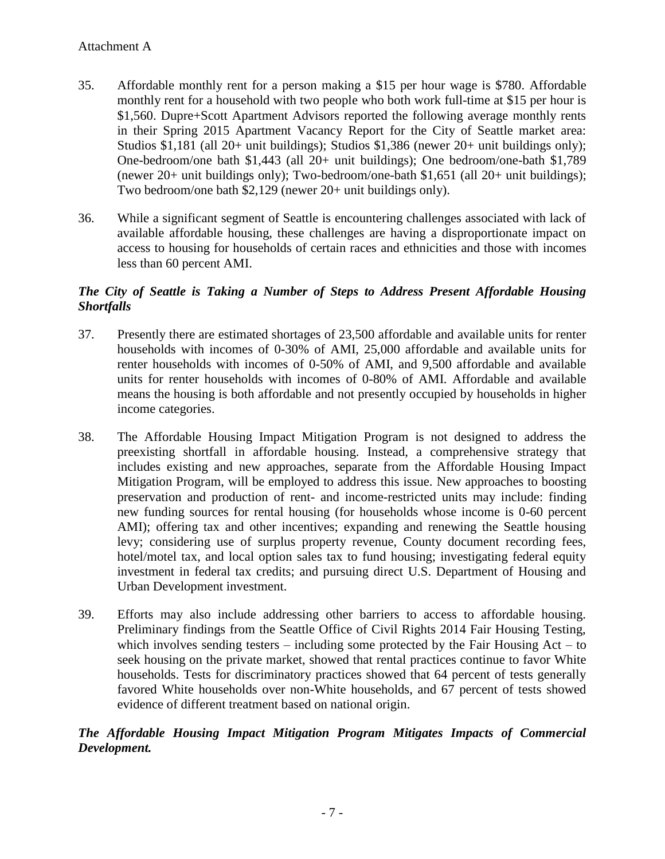- 35. Affordable monthly rent for a person making a \$15 per hour wage is \$780. Affordable monthly rent for a household with two people who both work full-time at \$15 per hour is \$1,560. Dupre+Scott Apartment Advisors reported the following average monthly rents in their Spring 2015 Apartment Vacancy Report for the City of Seattle market area: Studios \$1,181 (all 20+ unit buildings); Studios \$1,386 (newer 20+ unit buildings only); One-bedroom/one bath \$1,443 (all 20+ unit buildings); One bedroom/one-bath \$1,789 (newer 20+ unit buildings only); Two-bedroom/one-bath \$1,651 (all 20+ unit buildings); Two bedroom/one bath \$2,129 (newer 20+ unit buildings only).
- 36. While a significant segment of Seattle is encountering challenges associated with lack of available affordable housing, these challenges are having a disproportionate impact on access to housing for households of certain races and ethnicities and those with incomes less than 60 percent AMI.

# *The City of Seattle is Taking a Number of Steps to Address Present Affordable Housing Shortfalls*

- 37. Presently there are estimated shortages of 23,500 affordable and available units for renter households with incomes of 0-30% of AMI, 25,000 affordable and available units for renter households with incomes of 0-50% of AMI, and 9,500 affordable and available units for renter households with incomes of 0-80% of AMI. Affordable and available means the housing is both affordable and not presently occupied by households in higher income categories.
- 38. The Affordable Housing Impact Mitigation Program is not designed to address the preexisting shortfall in affordable housing. Instead, a comprehensive strategy that includes existing and new approaches, separate from the Affordable Housing Impact Mitigation Program, will be employed to address this issue. New approaches to boosting preservation and production of rent- and income-restricted units may include: finding new funding sources for rental housing (for households whose income is 0-60 percent AMI); offering tax and other incentives; expanding and renewing the Seattle housing levy; considering use of surplus property revenue, County document recording fees, hotel/motel tax, and local option sales tax to fund housing; investigating federal equity investment in federal tax credits; and pursuing direct U.S. Department of Housing and Urban Development investment.
- 39. Efforts may also include addressing other barriers to access to affordable housing. Preliminary findings from the Seattle Office of Civil Rights 2014 Fair Housing Testing, which involves sending testers – including some protected by the Fair Housing Act – to seek housing on the private market, showed that rental practices continue to favor White households. Tests for discriminatory practices showed that 64 percent of tests generally favored White households over non-White households, and 67 percent of tests showed evidence of different treatment based on national origin.

# *The Affordable Housing Impact Mitigation Program Mitigates Impacts of Commercial Development.*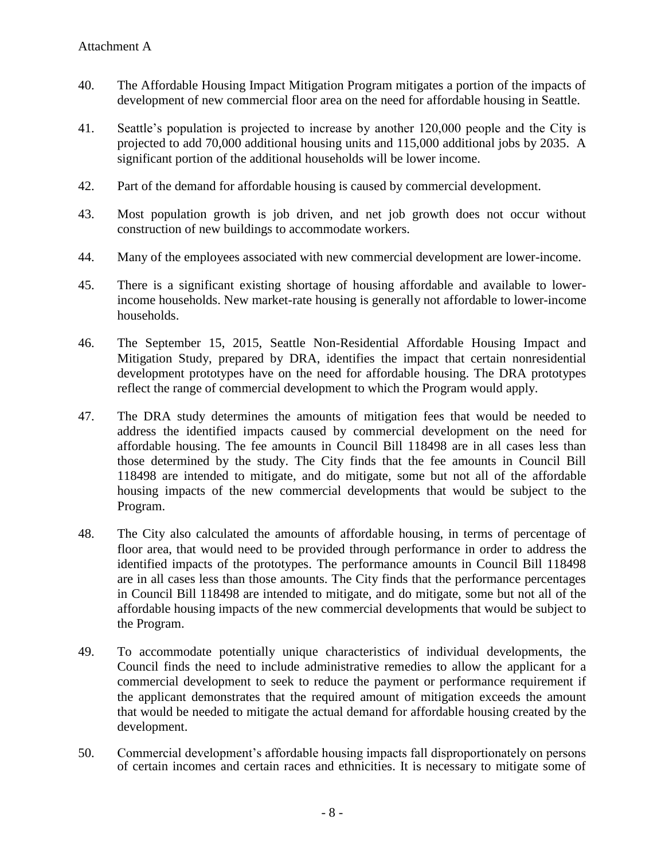- 40. The Affordable Housing Impact Mitigation Program mitigates a portion of the impacts of development of new commercial floor area on the need for affordable housing in Seattle.
- 41. Seattle's population is projected to increase by another 120,000 people and the City is projected to add 70,000 additional housing units and 115,000 additional jobs by 2035. A significant portion of the additional households will be lower income.
- 42. Part of the demand for affordable housing is caused by commercial development.
- 43. Most population growth is job driven, and net job growth does not occur without construction of new buildings to accommodate workers.
- 44. Many of the employees associated with new commercial development are lower-income.
- 45. There is a significant existing shortage of housing affordable and available to lowerincome households. New market-rate housing is generally not affordable to lower-income households.
- 46. The September 15, 2015, Seattle Non-Residential Affordable Housing Impact and Mitigation Study, prepared by DRA, identifies the impact that certain nonresidential development prototypes have on the need for affordable housing. The DRA prototypes reflect the range of commercial development to which the Program would apply.
- 47. The DRA study determines the amounts of mitigation fees that would be needed to address the identified impacts caused by commercial development on the need for affordable housing. The fee amounts in Council Bill 118498 are in all cases less than those determined by the study. The City finds that the fee amounts in Council Bill 118498 are intended to mitigate, and do mitigate, some but not all of the affordable housing impacts of the new commercial developments that would be subject to the Program.
- 48. The City also calculated the amounts of affordable housing, in terms of percentage of floor area, that would need to be provided through performance in order to address the identified impacts of the prototypes. The performance amounts in Council Bill 118498 are in all cases less than those amounts. The City finds that the performance percentages in Council Bill 118498 are intended to mitigate, and do mitigate, some but not all of the affordable housing impacts of the new commercial developments that would be subject to the Program.
- 49. To accommodate potentially unique characteristics of individual developments, the Council finds the need to include administrative remedies to allow the applicant for a commercial development to seek to reduce the payment or performance requirement if the applicant demonstrates that the required amount of mitigation exceeds the amount that would be needed to mitigate the actual demand for affordable housing created by the development.
- 50. Commercial development's affordable housing impacts fall disproportionately on persons of certain incomes and certain races and ethnicities. It is necessary to mitigate some of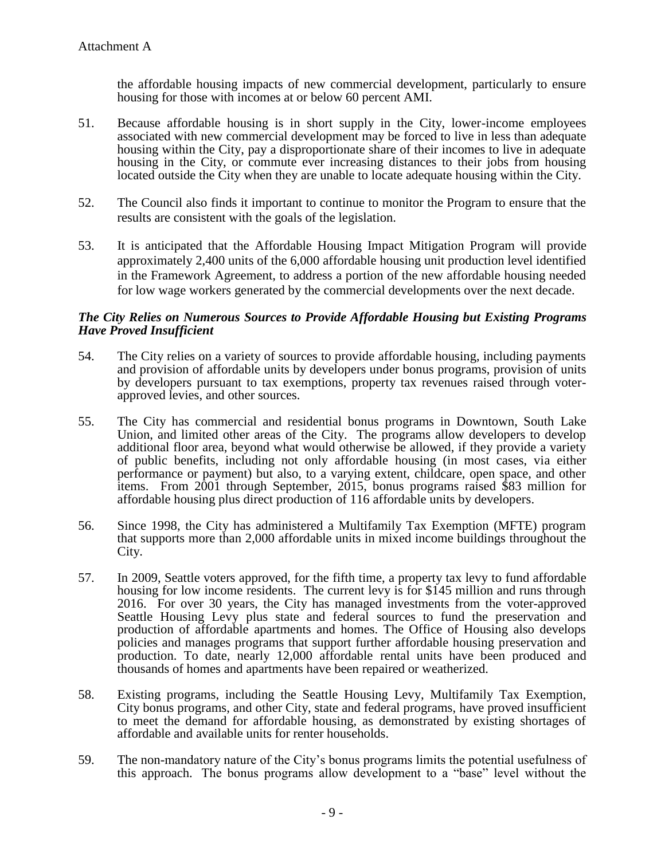the affordable housing impacts of new commercial development, particularly to ensure housing for those with incomes at or below 60 percent AMI.

- 51. Because affordable housing is in short supply in the City, lower-income employees associated with new commercial development may be forced to live in less than adequate housing within the City, pay a disproportionate share of their incomes to live in adequate housing in the City, or commute ever increasing distances to their jobs from housing located outside the City when they are unable to locate adequate housing within the City.
- 52. The Council also finds it important to continue to monitor the Program to ensure that the results are consistent with the goals of the legislation.
- 53. It is anticipated that the Affordable Housing Impact Mitigation Program will provide approximately 2,400 units of the 6,000 affordable housing unit production level identified in the Framework Agreement, to address a portion of the new affordable housing needed for low wage workers generated by the commercial developments over the next decade.

### *The City Relies on Numerous Sources to Provide Affordable Housing but Existing Programs Have Proved Insufficient*

- 54. The City relies on a variety of sources to provide affordable housing, including payments and provision of affordable units by developers under bonus programs, provision of units by developers pursuant to tax exemptions, property tax revenues raised through voterapproved levies, and other sources.
- 55. The City has commercial and residential bonus programs in Downtown, South Lake Union, and limited other areas of the City. The programs allow developers to develop additional floor area, beyond what would otherwise be allowed, if they provide a variety of public benefits, including not only affordable housing (in most cases, via either performance or payment) but also, to a varying extent, childcare, open space, and other items. From 2001 through September, 2015, bonus programs raised \$83 million for affordable housing plus direct production of 116 affordable units by developers.
- 56. Since 1998, the City has administered a Multifamily Tax Exemption (MFTE) program that supports more than 2,000 affordable units in mixed income buildings throughout the City.
- 57. In 2009, Seattle voters approved, for the fifth time, a property tax levy to fund affordable housing for low income residents. The current levy is for \$145 million and runs through 2016. For over 30 years, the City has managed investments from the voter-approved Seattle Housing Levy plus state and federal sources to fund the preservation and production of affordable apartments and homes. The Office of Housing also develops policies and manages programs that support further affordable housing preservation and production. To date, nearly 12,000 affordable rental units have been produced and thousands of homes and apartments have been repaired or weatherized.
- 58. Existing programs, including the Seattle Housing Levy, Multifamily Tax Exemption, City bonus programs, and other City, state and federal programs, have proved insufficient to meet the demand for affordable housing, as demonstrated by existing shortages of affordable and available units for renter households.
- 59. The non-mandatory nature of the City's bonus programs limits the potential usefulness of this approach. The bonus programs allow development to a "base" level without the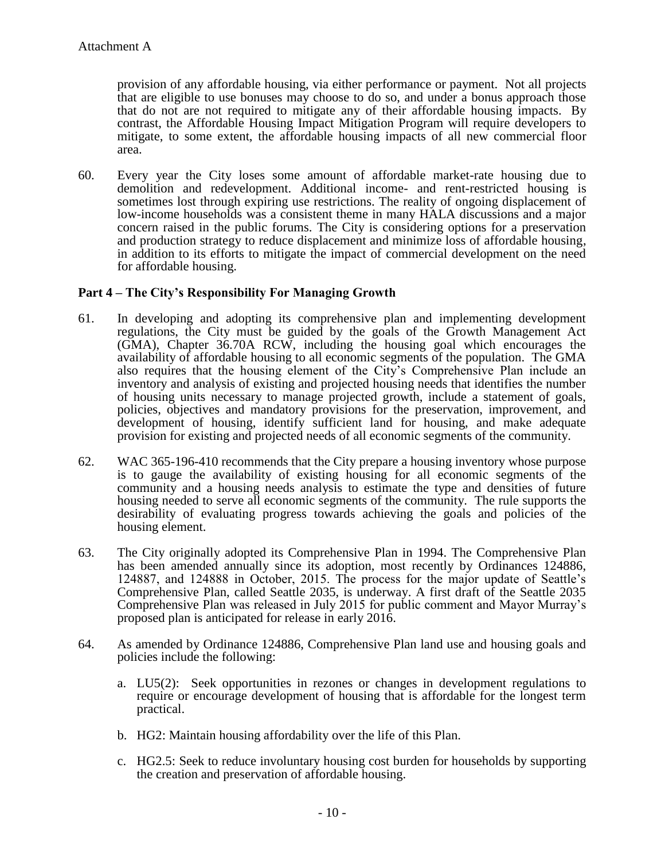provision of any affordable housing, via either performance or payment. Not all projects that are eligible to use bonuses may choose to do so, and under a bonus approach those that do not are not required to mitigate any of their affordable housing impacts. By contrast, the Affordable Housing Impact Mitigation Program will require developers to mitigate, to some extent, the affordable housing impacts of all new commercial floor area.

60. Every year the City loses some amount of affordable market-rate housing due to demolition and redevelopment. Additional income- and rent-restricted housing is sometimes lost through expiring use restrictions. The reality of ongoing displacement of low-income households was a consistent theme in many HALA discussions and a major concern raised in the public forums. The City is considering options for a preservation and production strategy to reduce displacement and minimize loss of affordable housing, in addition to its efforts to mitigate the impact of commercial development on the need for affordable housing.

## **Part 4 – The City's Responsibility For Managing Growth**

- 61. In developing and adopting its comprehensive plan and implementing development regulations, the City must be guided by the goals of the Growth Management Act (GMA), Chapter 36.70A RCW, including the housing goal which encourages the availability of affordable housing to all economic segments of the population. The GMA also requires that the housing element of the City's Comprehensive Plan include an inventory and analysis of existing and projected housing needs that identifies the number of housing units necessary to manage projected growth, include a statement of goals, policies, objectives and mandatory provisions for the preservation, improvement, and development of housing, identify sufficient land for housing, and make adequate provision for existing and projected needs of all economic segments of the community.
- 62. WAC 365-196-410 recommends that the City prepare a housing inventory whose purpose is to gauge the availability of existing housing for all economic segments of the community and a housing needs analysis to estimate the type and densities of future housing needed to serve all economic segments of the community. The rule supports the desirability of evaluating progress towards achieving the goals and policies of the housing element.
- 63. The City originally adopted its Comprehensive Plan in 1994. The Comprehensive Plan has been amended annually since its adoption, most recently by Ordinances 124886, 124887, and 124888 in October, 2015. The process for the major update of Seattle's Comprehensive Plan, called Seattle 2035, is underway. A first draft of the Seattle 2035 Comprehensive Plan was released in July 2015 for public comment and Mayor Murray's proposed plan is anticipated for release in early 2016.
- 64. As amended by Ordinance 124886, Comprehensive Plan land use and housing goals and policies include the following:
	- a. LU5(2): Seek opportunities in rezones or changes in development regulations to require or encourage development of housing that is affordable for the longest term practical.
	- b. HG2: Maintain housing affordability over the life of this Plan.
	- c. HG2.5: Seek to reduce involuntary housing cost burden for households by supporting the creation and preservation of affordable housing.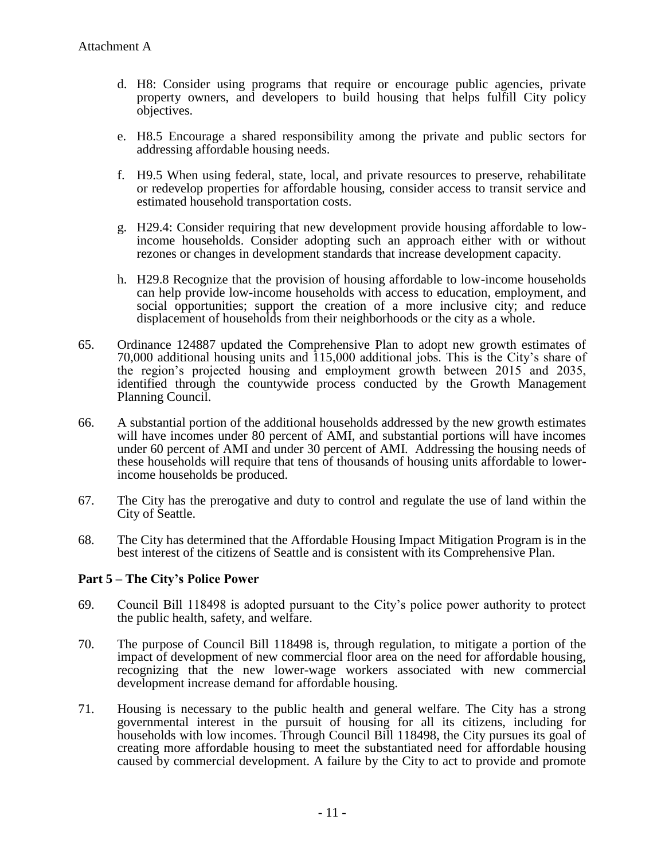- d. H8: Consider using programs that require or encourage public agencies, private property owners, and developers to build housing that helps fulfill City policy objectives.
- e. H8.5 Encourage a shared responsibility among the private and public sectors for addressing affordable housing needs.
- f. H9.5 When using federal, state, local, and private resources to preserve, rehabilitate or redevelop properties for affordable housing, consider access to transit service and estimated household transportation costs.
- g. H29.4: Consider requiring that new development provide housing affordable to lowincome households. Consider adopting such an approach either with or without rezones or changes in development standards that increase development capacity.
- h. H29.8 Recognize that the provision of housing affordable to low-income households can help provide low-income households with access to education, employment, and social opportunities; support the creation of a more inclusive city; and reduce displacement of households from their neighborhoods or the city as a whole.
- 65. Ordinance 124887 updated the Comprehensive Plan to adopt new growth estimates of 70,000 additional housing units and 115,000 additional jobs. his is the City's share of the region's projected housing and employment growth between  $2015$  and  $2035$ , identified through the countywide process conducted by the Growth Management Planning Council.
- 66. A substantial portion of the additional households addressed by the new growth estimates will have incomes under 80 percent of AMI, and substantial portions will have incomes under 60 percent of AMI and under 30 percent of AMI. Addressing the housing needs of these households will require that tens of thousands of housing units affordable to lowerincome households be produced.
- 67. The City has the prerogative and duty to control and regulate the use of land within the City of Seattle.
- 68. The City has determined that the Affordable Housing Impact Mitigation Program is in the best interest of the citizens of Seattle and is consistent with its Comprehensive Plan.

### **Part 5 – The City's Police Power**

- 69. Council Bill 118498 is adopted pursuant to the City's police power authority to protect the public health, safety, and welfare.
- 70. The purpose of Council Bill 118498 is, through regulation, to mitigate a portion of the impact of development of new commercial floor area on the need for affordable housing, recognizing that the new lower-wage workers associated with new commercial development increase demand for affordable housing.
- 71. Housing is necessary to the public health and general welfare. The City has a strong governmental interest in the pursuit of housing for all its citizens, including for households with low incomes. Through Council Bill 118498, the City pursues its goal of creating more affordable housing to meet the substantiated need for affordable housing caused by commercial development. A failure by the City to act to provide and promote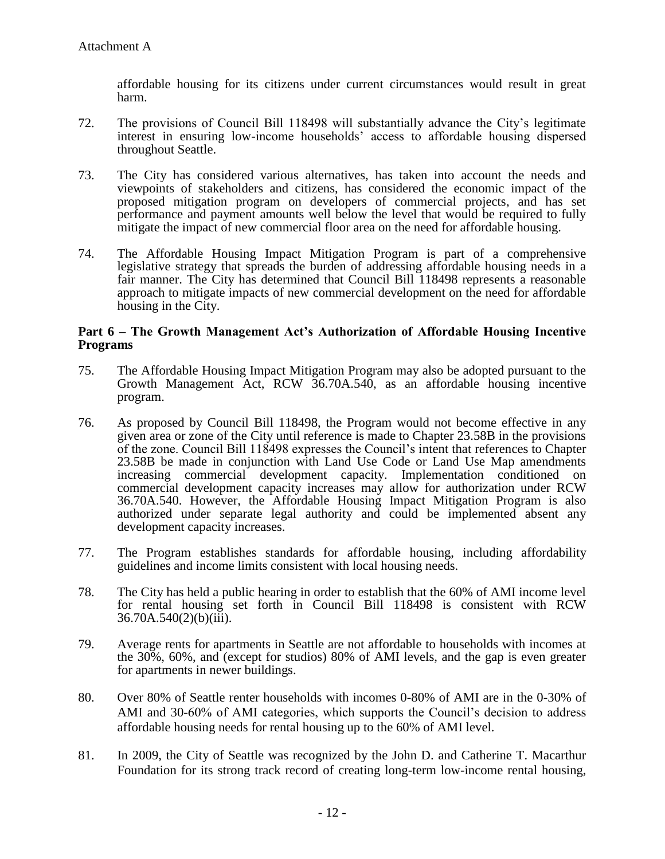affordable housing for its citizens under current circumstances would result in great harm.

- 72. he provisions of Council Bill 118498 will substantially advance the City's legitimate interest in ensuring low-income households' access to affordable housing dispersed throughout Seattle.
- 73. The City has considered various alternatives, has taken into account the needs and viewpoints of stakeholders and citizens, has considered the economic impact of the proposed mitigation program on developers of commercial projects, and has set performance and payment amounts well below the level that would be required to fully mitigate the impact of new commercial floor area on the need for affordable housing.
- 74. The Affordable Housing Impact Mitigation Program is part of a comprehensive legislative strategy that spreads the burden of addressing affordable housing needs in a fair manner. The City has determined that Council Bill 118498 represents a reasonable approach to mitigate impacts of new commercial development on the need for affordable housing in the City.

#### **Part 6 – The Growth Management Act's Authorization of Affordable Housing Incentive Programs**

- 75. The Affordable Housing Impact Mitigation Program may also be adopted pursuant to the Growth Management Act, RCW 36.70A.540, as an affordable housing incentive program.
- 76. As proposed by Council Bill 118498, the Program would not become effective in any given area or zone of the City until reference is made to Chapter 23.58B in the provisions of the zone. Council Bill 118498 expresses the Council's intent that references to Chapter 23.58B be made in conjunction with Land Use Code or Land Use Map amendments increasing commercial development capacity. Implementation conditioned on commercial development capacity increases may allow for authorization under RCW 36.70A.540. However, the Affordable Housing Impact Mitigation Program is also authorized under separate legal authority and could be implemented absent any development capacity increases.
- 77. The Program establishes standards for affordable housing, including affordability guidelines and income limits consistent with local housing needs.
- 78. The City has held a public hearing in order to establish that the 60% of AMI income level for rental housing set forth in Council Bill 118498 is consistent with RCW 36.70A.540(2)(b)(iii).
- 79. Average rents for apartments in Seattle are not affordable to households with incomes at the 30%, 60%, and (except for studios) 80% of AMI levels, and the gap is even greater for apartments in newer buildings.
- 80. Over 80% of Seattle renter households with incomes 0-80% of AMI are in the 0-30% of AMI and 30-60% of AMI categories, which supports the Council's decision to address affordable housing needs for rental housing up to the 60% of AMI level.
- 81. In 2009, the City of Seattle was recognized by the John D. and Catherine T. Macarthur Foundation for its strong track record of creating long-term low-income rental housing,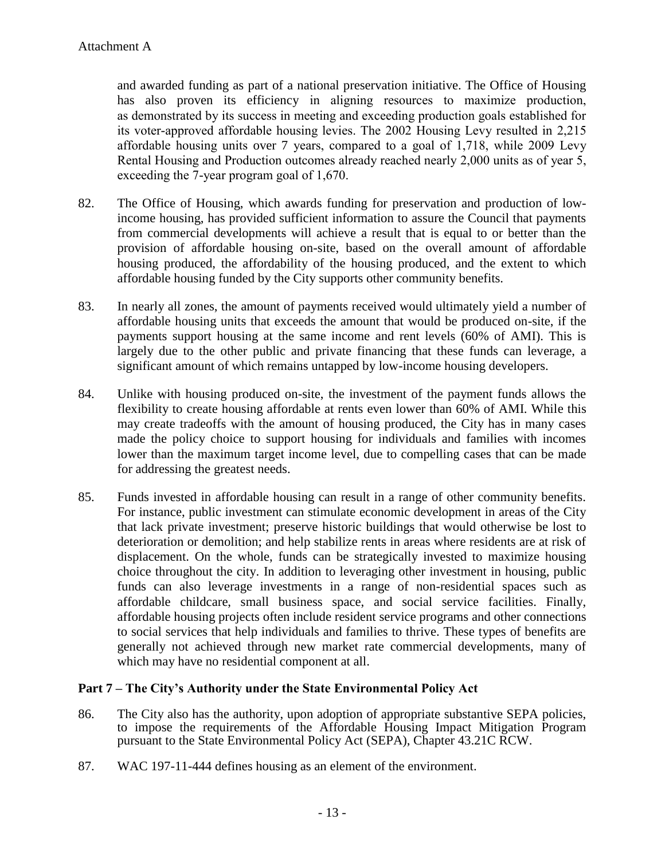and awarded funding as part of a national preservation initiative. The Office of Housing has also proven its efficiency in aligning resources to maximize production, as demonstrated by its success in meeting and exceeding production goals established for its voter-approved affordable housing levies. The 2002 Housing Levy resulted in 2,215 affordable housing units over 7 years, compared to a goal of 1,718, while 2009 Levy Rental Housing and Production outcomes already reached nearly 2,000 units as of year 5, exceeding the 7-year program goal of  $1,670$ .

- 82. The Office of Housing, which awards funding for preservation and production of lowincome housing, has provided sufficient information to assure the Council that payments from commercial developments will achieve a result that is equal to or better than the provision of affordable housing on-site, based on the overall amount of affordable housing produced, the affordability of the housing produced, and the extent to which affordable housing funded by the City supports other community benefits.
- 83. In nearly all zones, the amount of payments received would ultimately yield a number of affordable housing units that exceeds the amount that would be produced on-site, if the payments support housing at the same income and rent levels (60% of AMI). This is largely due to the other public and private financing that these funds can leverage, a significant amount of which remains untapped by low-income housing developers.
- 84. Unlike with housing produced on-site, the investment of the payment funds allows the flexibility to create housing affordable at rents even lower than 60% of AMI. While this may create tradeoffs with the amount of housing produced, the City has in many cases made the policy choice to support housing for individuals and families with incomes lower than the maximum target income level, due to compelling cases that can be made for addressing the greatest needs.
- 85. Funds invested in affordable housing can result in a range of other community benefits. For instance, public investment can stimulate economic development in areas of the City that lack private investment; preserve historic buildings that would otherwise be lost to deterioration or demolition; and help stabilize rents in areas where residents are at risk of displacement. On the whole, funds can be strategically invested to maximize housing choice throughout the city. In addition to leveraging other investment in housing, public funds can also leverage investments in a range of non-residential spaces such as affordable childcare, small business space, and social service facilities. Finally, affordable housing projects often include resident service programs and other connections to social services that help individuals and families to thrive. These types of benefits are generally not achieved through new market rate commercial developments, many of which may have no residential component at all.

# **Part 7 – The City's Authority under the State Environmental Policy Act**

- 86. The City also has the authority, upon adoption of appropriate substantive SEPA policies, to impose the requirements of the Affordable Housing Impact Mitigation Program pursuant to the State Environmental Policy Act (SEPA), Chapter 43.21C RCW.
- 87. WAC 197-11-444 defines housing as an element of the environment.